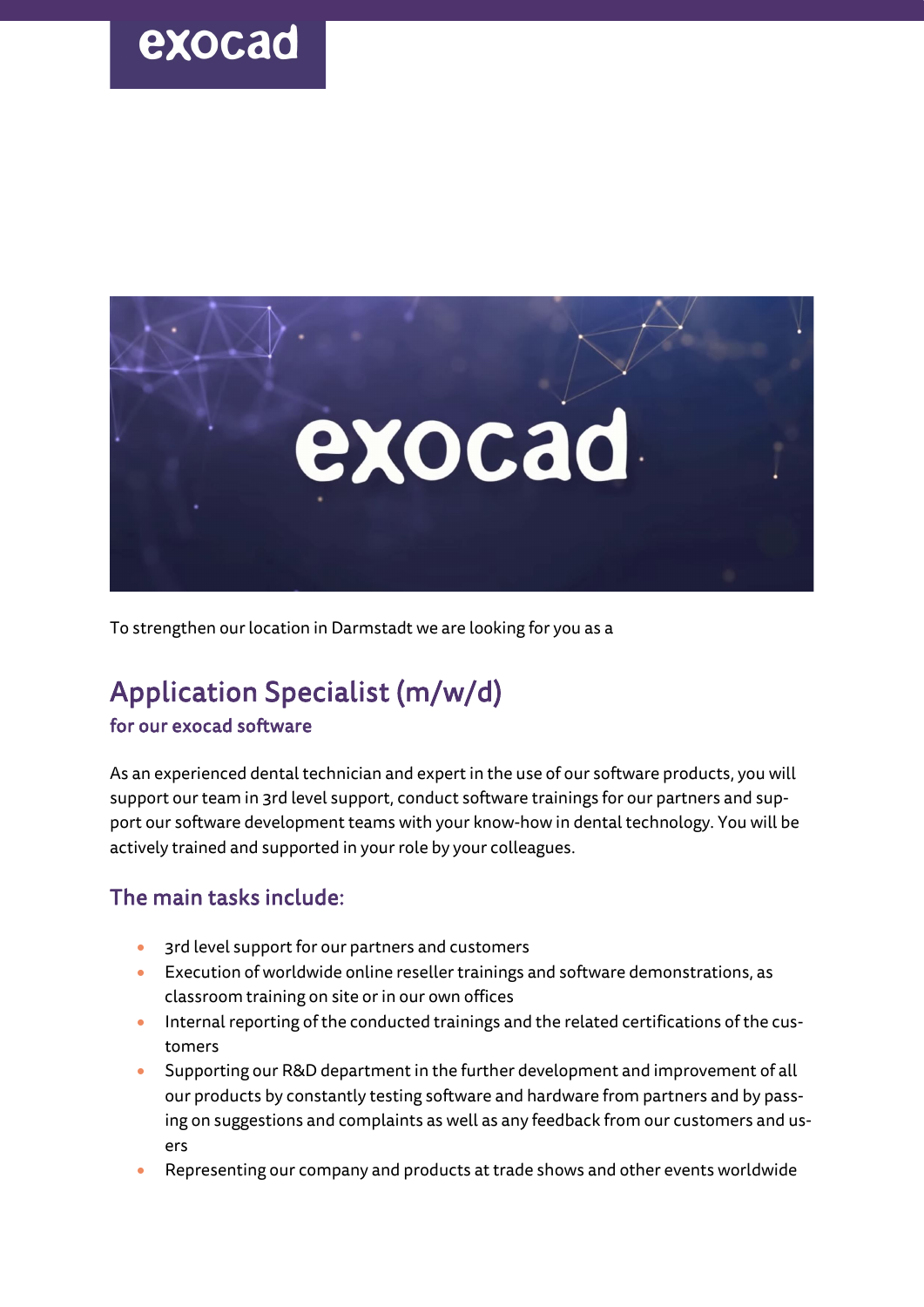# exocad



To strengthen our location in Darmstadt we are looking for you as a

### Application Specialist (m/w/d)

#### for our exocad software

As an experienced dental technician and expert in the use of our software products, you will support our team in 3rd level support, conduct software trainings for our partners and support our software development teams with your know-how in dental technology. You will be actively trained and supported in your role by your colleagues.

#### The main tasks include:

- 3rd level support for our partners and customers
- Execution of worldwide online reseller trainings and software demonstrations, as classroom training on site or in our own offices
- Internal reporting of the conducted trainings and the related certifications of the customers
- Supporting our R&D department in the further development and improvement of all our products by constantly testing software and hardware from partners and by passing on suggestions and complaints as well as any feedback from our customers and users
- Representing our company and products at trade shows and other events worldwide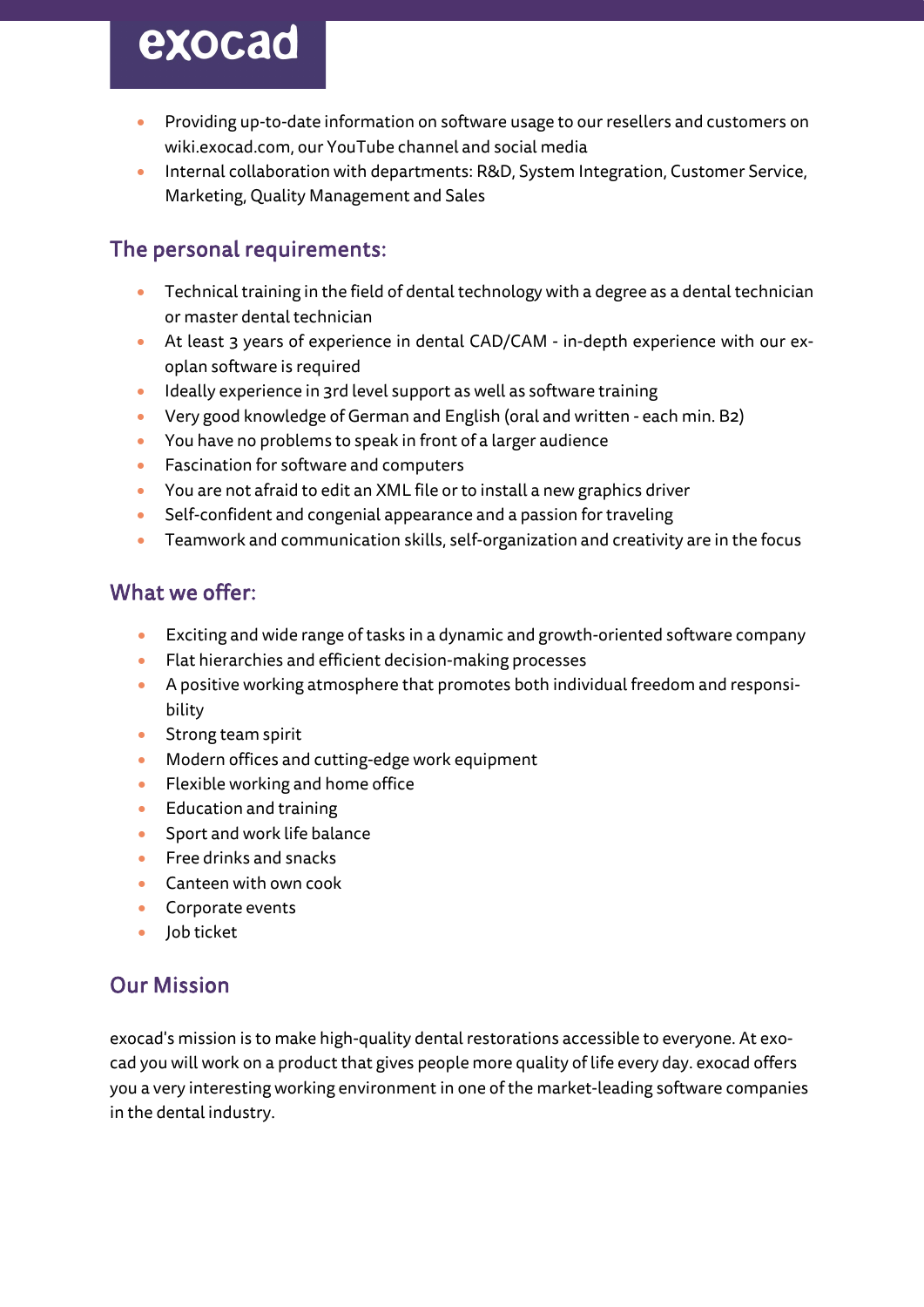# exocad

- Providing up-to-date information on software usage to our resellers and customers on wiki.exocad.com, our YouTube channel and social media
- Internal collaboration with departments: R&D, System Integration, Customer Service, Marketing, Quality Management and Sales

### The personal requirements:

- Technical training in the field of dental technology with a degree as a dental technician or master dental technician
- At least 3 years of experience in dental CAD/CAM in-depth experience with our exoplan software is required
- Ideally experience in 3rd level support as well as software training
- Very good knowledge of German and English (oral and written each min. B2)
- You have no problems to speak in front of a larger audience
- Fascination for software and computers
- You are not afraid to edit an XML file or to install a new graphics driver
- Self-confident and congenial appearance and a passion for traveling
- Teamwork and communication skills, self-organization and creativity are in the focus

### What we offer:

- Exciting and wide range of tasks in a dynamic and growth-oriented software company
- Flat hierarchies and efficient decision-making processes
- A positive working atmosphere that promotes both individual freedom and responsibility
- Strong team spirit
- Modern offices and cutting-edge work equipment
- Flexible working and home office
- Education and training
- Sport and work life balance
- Free drinks and snacks
- Canteen with own cook
- Corporate events
- Job ticket

### Our Mission

exocad's mission is to make high-quality dental restorations accessible to everyone. At exocad you will work on a product that gives people more quality of life every day. exocad offers you a very interesting working environment in one of the market-leading software companies in the dental industry.